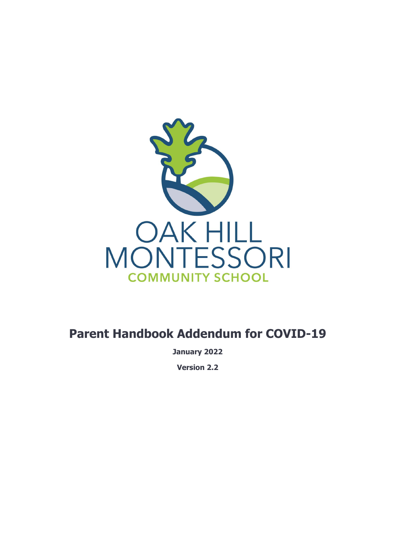

## **Parent Handbook Addendum for COVID-19**

**January 2022**

**Version 2.2**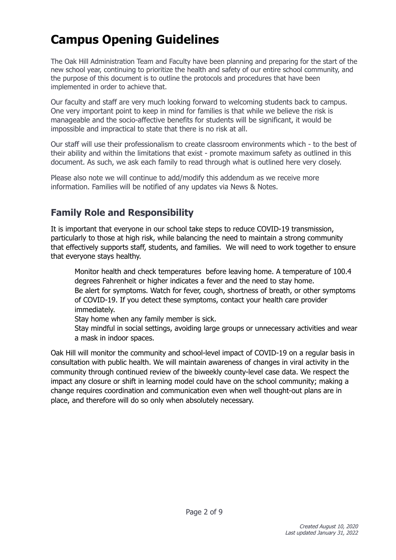# **Campus Opening Guidelines**

The Oak Hill Administration Team and Faculty have been planning and preparing for the start of the new school year, continuing to prioritize the health and safety of our entire school community, and the purpose of this document is to outline the protocols and procedures that have been implemented in order to achieve that.

Our faculty and staff are very much looking forward to welcoming students back to campus. One very important point to keep in mind for families is that while we believe the risk is manageable and the socio-affective benefits for students will be significant, it would be impossible and impractical to state that there is no risk at all.

Our staff will use their professionalism to create classroom environments which - to the best of their ability and within the limitations that exist - promote maximum safety as outlined in this document. As such, we ask each family to read through what is outlined here very closely.

Please also note we will continue to add/modify this addendum as we receive more information. Families will be notified of any updates via News & Notes.

## <span id="page-1-0"></span>**Family Role and Responsibility**

It is important that everyone in our school take steps to reduce COVID-19 transmission, particularly to those at high risk, while balancing the need to maintain a strong community that effectively supports staff, students, and families. We will need to work together to ensure that everyone stays healthy.

Monitor health and check temperatures before leaving home. A temperature of 100.4 degrees Fahrenheit or higher indicates a fever and the need to stay home. Be alert for symptoms. Watch for fever, cough, shortness of breath, or other symptoms of COVID-19. If you detect these symptoms, contact your health care provider immediately.

Stay home when any family member is sick.

Stay mindful in social settings, avoiding large groups or unnecessary activities and wear a mask in indoor spaces.

Oak Hill will monitor the community and school-level impact of COVID-19 on a regular basis in consultation with public health. We will maintain awareness of changes in viral activity in the community through continued review of the biweekly county-level case data. We respect the impact any closure or shift in learning model could have on the school community; making a change requires coordination and communication even when well thought-out plans are in place, and therefore will do so only when absolutely necessary.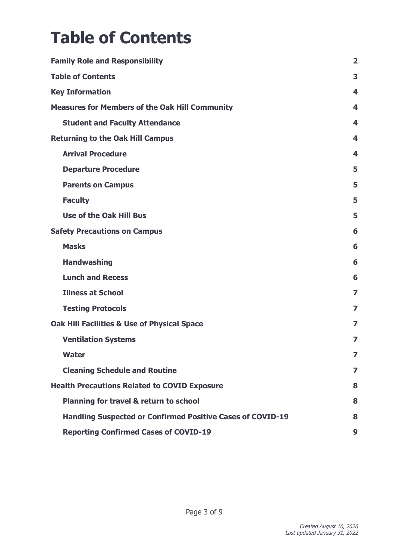# <span id="page-2-0"></span>**Table of Contents**

| <b>Family Role and Responsibility</b>                             | $\overline{2}$ |
|-------------------------------------------------------------------|----------------|
| <b>Table of Contents</b>                                          | 3              |
| <b>Key Information</b>                                            | 4              |
| <b>Measures for Members of the Oak Hill Community</b>             | 4              |
| <b>Student and Faculty Attendance</b>                             | 4              |
| <b>Returning to the Oak Hill Campus</b>                           | 4              |
| <b>Arrival Procedure</b>                                          | 4              |
| <b>Departure Procedure</b>                                        | 5              |
| <b>Parents on Campus</b>                                          | 5              |
| <b>Faculty</b>                                                    | 5              |
| <b>Use of the Oak Hill Bus</b>                                    | 5              |
| <b>Safety Precautions on Campus</b>                               | 6              |
| <b>Masks</b>                                                      | 6              |
| <b>Handwashing</b>                                                | 6              |
| <b>Lunch and Recess</b>                                           | 6              |
| <b>Illness at School</b>                                          | 7              |
| <b>Testing Protocols</b>                                          | 7              |
| <b>Oak Hill Facilities &amp; Use of Physical Space</b>            | 7              |
| <b>Ventilation Systems</b>                                        | 7              |
| <b>Water</b>                                                      | 7              |
| <b>Cleaning Schedule and Routine</b>                              | 7              |
| <b>Health Precautions Related to COVID Exposure</b>               | 8              |
| Planning for travel & return to school                            | 8              |
| <b>Handling Suspected or Confirmed Positive Cases of COVID-19</b> | 8              |
| <b>Reporting Confirmed Cases of COVID-19</b>                      | 9              |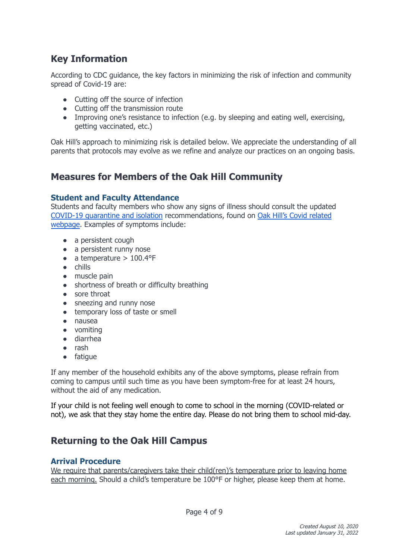## <span id="page-3-0"></span>**Key Information**

According to CDC guidance, the key factors in minimizing the risk of infection and community spread of Covid-19 are:

- Cutting off the source of infection
- Cutting off the transmission route
- Improving one's resistance to infection (e.g. by sleeping and eating well, exercising, getting vaccinated, etc.)

Oak Hill's approach to minimizing risk is detailed below. We appreciate the understanding of all parents that protocols may evolve as we refine and analyze our practices on an ongoing basis.

## <span id="page-3-1"></span>**Measures for Members of the Oak Hill Community**

#### <span id="page-3-2"></span>**Student and Faculty Attendance**

Students and faculty members who show any signs of illness should consult the updated COVID-19 [quarantine](https://www.cdc.gov/coronavirus/2019-ncov/your-health/quarantine-isolation.html) and isolation recommendations, found on Oak Hill's Covid [related](https://ohmcs.org/covid/) [webpage](https://ohmcs.org/covid/). Examples of symptoms include:

- a persistent cough
- a persistent runny nose
- $\bullet$  a temperature > 100.4°F
- chills
- muscle pain
- shortness of breath or difficulty breathing
- sore throat
- sneezing and runny nose
- temporary loss of taste or smell
- nausea
- vomiting
- diarrhea
- rash
- fatigue

If any member of the household exhibits any of the above symptoms, please refrain from coming to campus until such time as you have been symptom-free for at least 24 hours, without the aid of any medication.

If your child is not feeling well enough to come to school in the morning (COVID-related or not), we ask that they stay home the entire day. Please do not bring them to school mid-day.

## <span id="page-3-3"></span>**Returning to the Oak Hill Campus**

#### <span id="page-3-4"></span>**Arrival Procedure**

We require that parents/caregivers take their child(ren)'s temperature prior to leaving home each morning. Should a child's temperature be 100°F or higher, please keep them at home.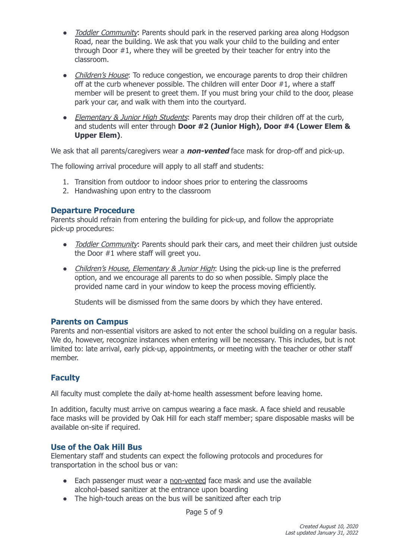- Toddler Community: Parents should park in the reserved parking area along Hodgson Road, near the building. We ask that you walk your child to the building and enter through Door #1, where they will be greeted by their teacher for entry into the classroom.
- Children's House: To reduce congestion, we encourage parents to drop their children off at the curb whenever possible. The children will enter Door #1, where a staff member will be present to greet them. If you must bring your child to the door, please park your car, and walk with them into the courtyard.
- Elementary & Junior High Students: Parents may drop their children off at the curb, and students will enter through **Door #2 (Junior High), Door #4 (Lower Elem & Upper Elem)**.

We ask that all parents/caregivers wear a **non-vented** face mask for drop-off and pick-up.

The following arrival procedure will apply to all staff and students:

- 1. Transition from outdoor to indoor shoes prior to entering the classrooms
- 2. Handwashing upon entry to the classroom

#### <span id="page-4-0"></span>**Departure Procedure**

Parents should refrain from entering the building for pick-up, and follow the appropriate pick-up procedures:

- Toddler Community: Parents should park their cars, and meet their children just outside the Door #1 where staff will greet you.
- Children's House, Elementary & Junior High: Using the pick-up line is the preferred option, and we encourage all parents to do so when possible. Simply place the provided name card in your window to keep the process moving efficiently.

Students will be dismissed from the same doors by which they have entered.

#### <span id="page-4-1"></span>**Parents on Campus**

Parents and non-essential visitors are asked to not enter the school building on a regular basis. We do, however, recognize instances when entering will be necessary. This includes, but is not limited to: late arrival, early pick-up, appointments, or meeting with the teacher or other staff member.

#### <span id="page-4-2"></span>**Faculty**

All faculty must complete the daily at-home health assessment before leaving home.

In addition, faculty must arrive on campus wearing a face mask. A face shield and reusable face masks will be provided by Oak Hill for each staff member; spare disposable masks will be available on-site if required.

#### <span id="page-4-3"></span>**Use of the Oak Hill Bus**

Elementary staff and students can expect the following protocols and procedures for transportation in the school bus or van:

- Each passenger must wear a non-vented face mask and use the available alcohol-based sanitizer at the entrance upon boarding
- The high-touch areas on the bus will be sanitized after each trip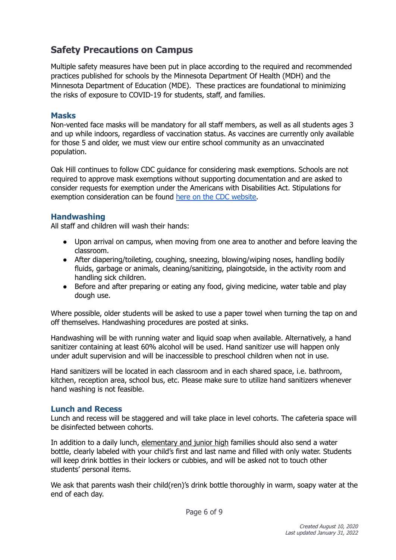## <span id="page-5-0"></span>**Safety Precautions on Campus**

Multiple safety measures have been put in place according to the required and recommended practices published for schools by the Minnesota Department Of Health (MDH) and the Minnesota Department of Education (MDE). These practices are foundational to minimizing the risks of exposure to COVID-19 for students, staff, and families.

#### <span id="page-5-1"></span>**Masks**

Non-vented face masks will be mandatory for all staff members, as well as all students ages 3 and up while indoors, regardless of vaccination status. As vaccines are currently only available for those 5 and older, we must view our entire school community as an unvaccinated population.

Oak Hill continues to follow CDC guidance for considering mask exemptions. Schools are not required to approve mask exemptions without supporting documentation and are asked to consider requests for exemption under the Americans with Disabilities Act. Stipulations for exemption consideration can be found here on the CDC [website.](https://www.cdc.gov/quarantine/masks/mask-travel-guidance.html#disability-exemptions)

#### <span id="page-5-2"></span>**Handwashing**

All staff and children will wash their hands:

- Upon arrival on campus, when moving from one area to another and before leaving the classroom.
- After diapering/toileting, coughing, sneezing, blowing/wiping noses, handling bodily fluids, garbage or animals, cleaning/sanitizing, plaingotside, in the activity room and handling sick children.
- Before and after preparing or eating any food, giving medicine, water table and play dough use.

Where possible, older students will be asked to use a paper towel when turning the tap on and off themselves. Handwashing procedures are posted at sinks.

Handwashing will be with running water and liquid soap when available. Alternatively, a hand sanitizer containing at least 60% alcohol will be used. Hand sanitizer use will happen only under adult supervision and will be inaccessible to preschool children when not in use.

Hand sanitizers will be located in each classroom and in each shared space, i.e. bathroom, kitchen, reception area, school bus, etc. Please make sure to utilize hand sanitizers whenever hand washing is not feasible.

#### <span id="page-5-3"></span>**Lunch and Recess**

Lunch and recess will be staggered and will take place in level cohorts. The cafeteria space will be disinfected between cohorts.

In addition to a daily lunch, elementary and junior high families should also send a water bottle, clearly labeled with your child's first and last name and filled with only water. Students will keep drink bottles in their lockers or cubbies, and will be asked not to touch other students' personal items.

We ask that parents wash their child(ren)'s drink bottle thoroughly in warm, soapy water at the end of each day.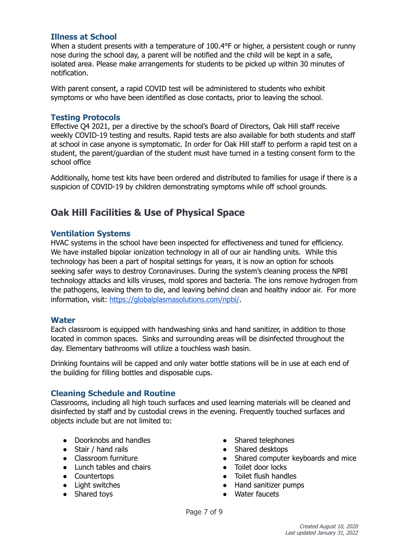#### <span id="page-6-0"></span>**Illness at School**

When a student presents with a temperature of 100.4°F or higher, a persistent cough or runny nose during the school day, a parent will be notified and the child will be kept in a safe, isolated area. Please make arrangements for students to be picked up within 30 minutes of notification.

With parent consent, a rapid COVID test will be administered to students who exhibit symptoms or who have been identified as close contacts, prior to leaving the school.

#### <span id="page-6-1"></span>**Testing Protocols**

Effective Q4 2021, per a directive by the school's Board of Directors, Oak Hill staff receive weekly COVID-19 testing and results. Rapid tests are also available for both students and staff at school in case anyone is symptomatic. In order for Oak Hill staff to perform a rapid test on a student, the parent/guardian of the student must have turned in a testing consent form to the school office

Additionally, home test kits have been ordered and distributed to families for usage if there is a suspicion of COVID-19 by children demonstrating symptoms while off school grounds.

### <span id="page-6-2"></span>**Oak Hill Facilities & Use of Physical Space**

#### <span id="page-6-3"></span>**Ventilation Systems**

HVAC systems in the school have been inspected for effectiveness and tuned for efficiency. We have installed bipolar ionization technology in all of our air handling units. While this technology has been a part of hospital settings for years, it is now an option for schools seeking safer ways to destroy Coronaviruses. During the system's cleaning process the NPBI technology attacks and kills viruses, mold spores and bacteria. The ions remove hydrogen from the pathogens, leaving them to die, and leaving behind clean and healthy indoor air. For more information, visit: <https://globalplasmasolutions.com/npbi/>.

#### <span id="page-6-4"></span>**Water**

Each classroom is equipped with handwashing sinks and hand sanitizer, in addition to those located in common spaces. Sinks and surrounding areas will be disinfected throughout the day. Elementary bathrooms will utilize a touchless wash basin.

Drinking fountains will be capped and only water bottle stations will be in use at each end of the building for filling bottles and disposable cups.

#### <span id="page-6-5"></span>**Cleaning Schedule and Routine**

Classrooms, including all high touch surfaces and used learning materials will be cleaned and disinfected by staff and by custodial crews in the evening. Frequently touched surfaces and objects include but are not limited to:

- Doorknobs and handles
- Stair / hand rails
- Classroom furniture
- Lunch tables and chairs
- Countertops
- Light switches
- Shared toys
- Shared telephones
- Shared desktops
- Shared computer keyboards and mice
- Toilet door locks
- Toilet flush handles
- Hand sanitizer pumps
- Water faucets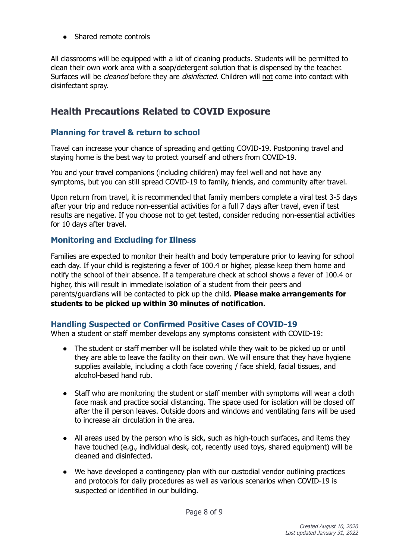• Shared remote controls

All classrooms will be equipped with a kit of cleaning products. Students will be permitted to clean their own work area with a soap/detergent solution that is dispensed by the teacher. Surfaces will be *cleaned* before they are *disinfected*. Children will not come into contact with disinfectant spray.

## <span id="page-7-0"></span>**Health Precautions Related to COVID Exposure**

#### <span id="page-7-1"></span>**Planning for travel & return to school**

Travel can increase your chance of spreading and getting COVID-19. Postponing travel and staying home is the best way to protect yourself and others from COVID-19.

You and your travel companions (including children) may feel well and not have any symptoms, but you can still spread COVID-19 to family, friends, and community after travel.

Upon return from travel, it is recommended that family members complete a viral test 3-5 days after your trip and reduce non-essential activities for a full 7 days after travel, even if test results are negative. If you choose not to get tested, consider reducing non-essential activities for 10 days after travel.

#### **Monitoring and Excluding for Illness**

Families are expected to monitor their health and body temperature prior to leaving for school each day. If your child is registering a fever of 100.4 or higher, please keep them home and notify the school of their absence. If a temperature check at school shows a fever of 100.4 or higher, this will result in immediate isolation of a student from their peers and parents/guardians will be contacted to pick up the child. **Please make arrangements for students to be picked up within 30 minutes of notification.**

#### <span id="page-7-2"></span>**Handling Suspected or Confirmed Positive Cases of COVID-19**

When a student or staff member develops any symptoms consistent with COVID-19:

- The student or staff member will be isolated while they wait to be picked up or until they are able to leave the facility on their own. We will ensure that they have hygiene supplies available, including a cloth face covering / face shield, facial tissues, and alcohol-based hand rub.
- Staff who are monitoring the student or staff member with symptoms will wear a cloth face mask and practice social distancing. The space used for isolation will be closed off after the ill person leaves. Outside doors and windows and ventilating fans will be used to increase air circulation in the area.
- All areas used by the person who is sick, such as high-touch surfaces, and items they have touched (e.g., individual desk, cot, recently used toys, shared equipment) will be cleaned and disinfected.
- We have developed a contingency plan with our custodial vendor outlining practices and protocols for daily procedures as well as various scenarios when COVID-19 is suspected or identified in our building.